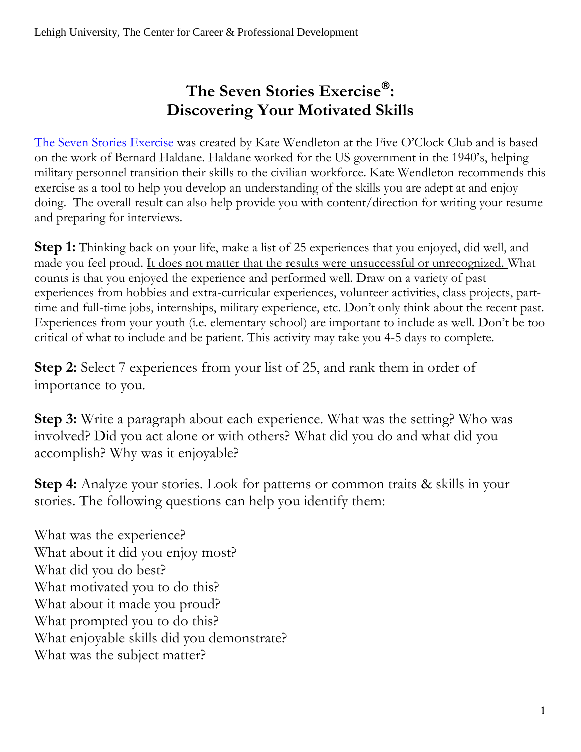## **The Seven Stories Exercise : Discovering Your Motivated Skills**

[The Seven Stories](https://fiveoclockclub.com/wp-content/uploads/2013/07/Targeting-sample-chapter.pdf) Exercise was created by Kate Wendleton at the Five O'Clock Club and is based on the work of Bernard Haldane. Haldane worked for the US government in the 1940's, helping military personnel transition their skills to the civilian workforce. Kate Wendleton recommends this exercise as a tool to help you develop an understanding of the skills you are adept at and enjoy doing. The overall result can also help provide you with content/direction for writing your resume and preparing for interviews.

**Step 1:** Thinking back on your life, make a list of 25 experiences that you enjoyed, did well, and made you feel proud. It does not matter that the results were unsuccessful or unrecognized. What counts is that you enjoyed the experience and performed well. Draw on a variety of past experiences from hobbies and extra-curricular experiences, volunteer activities, class projects, parttime and full-time jobs, internships, military experience, etc. Don't only think about the recent past. Experiences from your youth (i.e. elementary school) are important to include as well. Don't be too critical of what to include and be patient. This activity may take you 4-5 days to complete.

**Step 2:** Select 7 experiences from your list of 25, and rank them in order of importance to you.

**Step 3:** Write a paragraph about each experience. What was the setting? Who was involved? Did you act alone or with others? What did you do and what did you accomplish? Why was it enjoyable?

**Step 4:** Analyze your stories. Look for patterns or common traits & skills in your stories. The following questions can help you identify them:

What was the experience? What about it did you enjoy most? What did you do best? What motivated you to do this? What about it made you proud? What prompted you to do this? What enjoyable skills did you demonstrate? What was the subject matter?